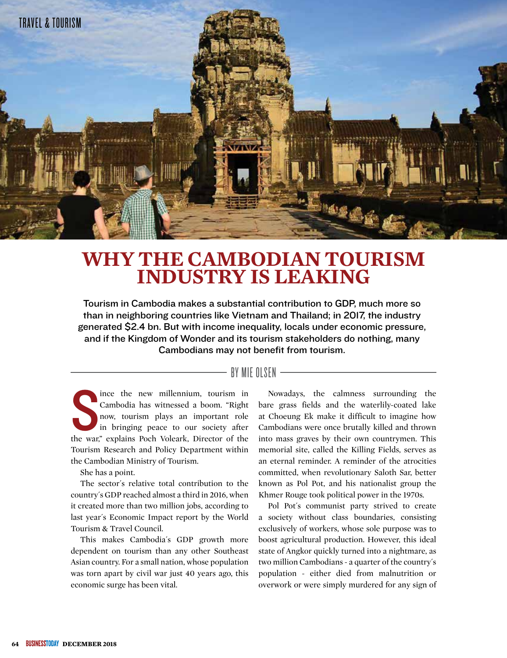

# **WHY THE CAMBODIAN TOURISM INDUSTRY IS LEAKING**

Tourism in Cambodia makes a substantial contribution to GDP, much more so than in neighboring countries like Vietnam and Thailand; in 2017, the industry generated \$2.4 bn. But with income inequality, locals under economic pressure, and if the Kingdom of Wonder and its tourism stakeholders do nothing, many Cambodians may not benefit from tourism.

# BY MIE OLSEN  $-$

The war, in the war, in the war, in the war, in the war, in the war, in the war, in the war, in the war, in the war, is positive war, and the war,  $\frac{1}{2}$  and  $\frac{1}{2}$  and  $\frac{1}{2}$  and  $\frac{1}{2}$  and  $\frac{1}{2}$  and  $\frac{1$ ince the new millennium, tourism in Cambodia has witnessed a boom. "Right now, tourism plays an important role in bringing peace to our society after Tourism Research and Policy Department within the Cambodian Ministry of Tourism.

She has a point.

The sector´s relative total contribution to the country´s GDP reached almost a third in 2016, when it created more than two million jobs, according to last year´s Economic Impact report by the World Tourism & Travel Council.

This makes Cambodia´s GDP growth more dependent on tourism than any other Southeast Asian country. For a small nation, whose population was torn apart by civil war just 40 years ago, this economic surge has been vital.

Nowadays, the calmness surrounding the bare grass fields and the waterlily-coated lake at Choeung Ek make it difficult to imagine how Cambodians were once brutally killed and thrown into mass graves by their own countrymen. This memorial site, called the Killing Fields, serves as an eternal reminder. A reminder of the atrocities committed, when revolutionary Saloth Sar, better known as Pol Pot, and his nationalist group the Khmer Rouge took political power in the 1970s.

Pol Pot´s communist party strived to create a society without class boundaries, consisting exclusively of workers, whose sole purpose was to boost agricultural production. However, this ideal state of Angkor quickly turned into a nightmare, as two million Cambodians - a quarter of the country´s population - either died from malnutrition or overwork or were simply murdered for any sign of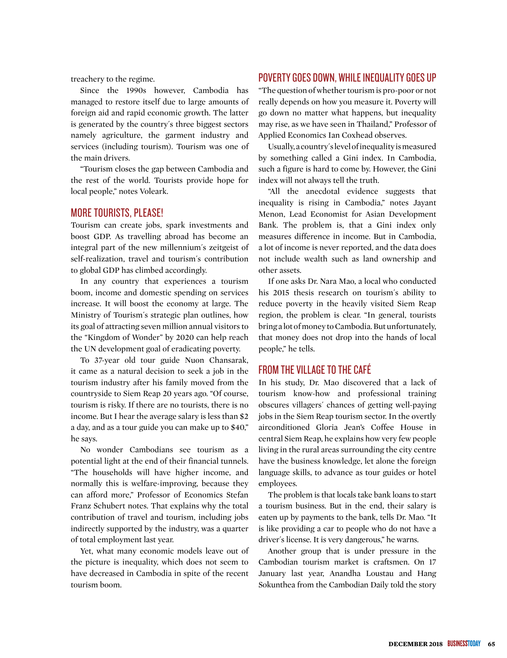treachery to the regime.

Since the 1990s however, Cambodia has managed to restore itself due to large amounts of foreign aid and rapid economic growth. The latter is generated by the country´s three biggest sectors namely agriculture, the garment industry and services (including tourism). Tourism was one of the main drivers.

"Tourism closes the gap between Cambodia and the rest of the world. Tourists provide hope for local people," notes Voleark.

#### MORE TOURISTS, PLEASE!

Tourism can create jobs, spark investments and boost GDP. As travelling abroad has become an integral part of the new millennium´s zeitgeist of self-realization, travel and tourism´s contribution to global GDP has climbed accordingly.

In any country that experiences a tourism boom, income and domestic spending on services increase. It will boost the economy at large. The Ministry of Tourism´s strategic plan outlines, how its goal of attracting seven million annual visitors to the "Kingdom of Wonder" by 2020 can help reach the UN development goal of eradicating poverty.

To 37-year old tour guide Nuon Chansarak, it came as a natural decision to seek a job in the tourism industry after his family moved from the countryside to Siem Reap 20 years ago. "Of course, tourism is risky. If there are no tourists, there is no income. But I hear the average salary is less than \$2 a day, and as a tour guide you can make up to \$40," he says.

No wonder Cambodians see tourism as a potential light at the end of their financial tunnels. "The households will have higher income, and normally this is welfare-improving, because they can afford more," Professor of Economics Stefan Franz Schubert notes. That explains why the total contribution of travel and tourism, including jobs indirectly supported by the industry, was a quarter of total employment last year.

Yet, what many economic models leave out of the picture is inequality, which does not seem to have decreased in Cambodia in spite of the recent tourism boom.

## POVERTY GOES DOWN, WHILE INEQUALITY GOES UP

"The question of whether tourism is pro-poor or not really depends on how you measure it. Poverty will go down no matter what happens, but inequality may rise, as we have seen in Thailand," Professor of Applied Economics Ian Coxhead observes.

Usually, a country´s level of inequality is measured by something called a Gini index. In Cambodia, such a figure is hard to come by. However, the Gini index will not always tell the truth.

"All the anecdotal evidence suggests that inequality is rising in Cambodia," notes Jayant Menon, Lead Economist for Asian Development Bank. The problem is, that a Gini index only measures difference in income. But in Cambodia, a lot of income is never reported, and the data does not include wealth such as land ownership and other assets.

If one asks Dr. Nara Mao, a local who conducted his 2015 thesis research on tourism´s ability to reduce poverty in the heavily visited Siem Reap region, the problem is clear. "In general, tourists bring a lot of money to Cambodia. But unfortunately, that money does not drop into the hands of local people," he tells.

#### FROM THE VILLAGE TO THE CAFÉ

In his study, Dr. Mao discovered that a lack of tourism know-how and professional training obscures villagers´ chances of getting well-paying jobs in the Siem Reap tourism sector. In the overtly airconditioned Gloria Jean's Coffee House in central Siem Reap, he explains how very few people living in the rural areas surrounding the city centre have the business knowledge, let alone the foreign language skills, to advance as tour guides or hotel employees.

The problem is that locals take bank loans to start a tourism business. But in the end, their salary is eaten up by payments to the bank, tells Dr. Mao. "It is like providing a car to people who do not have a driver´s license. It is very dangerous," he warns.

Another group that is under pressure in the Cambodian tourism market is craftsmen. On 17 January last year, Anandha Loustau and Hang Sokunthea from the Cambodian Daily told the story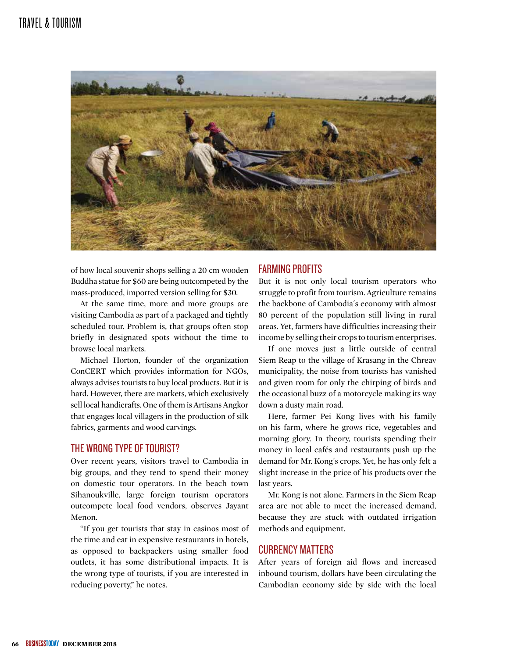# TRAVEL & TOURISM



of how local souvenir shops selling a 20 cm wooden Buddha statue for \$60 are being outcompeted by the mass-produced, imported version selling for \$30.

At the same time, more and more groups are visiting Cambodia as part of a packaged and tightly scheduled tour. Problem is, that groups often stop briefly in designated spots without the time to browse local markets.

Michael Horton, founder of the organization ConCERT which provides information for NGOs, always advises tourists to buy local products. But it is hard. However, there are markets, which exclusively sell local handicrafts. One of them is Artisans Angkor that engages local villagers in the production of silk fabrics, garments and wood carvings.

#### THE WRONG TYPE OF TOURIST?

Over recent years, visitors travel to Cambodia in big groups, and they tend to spend their money on domestic tour operators. In the beach town Sihanoukville, large foreign tourism operators outcompete local food vendors, observes Jayant Menon.

"If you get tourists that stay in casinos most of the time and eat in expensive restaurants in hotels, as opposed to backpackers using smaller food outlets, it has some distributional impacts. It is the wrong type of tourists, if you are interested in reducing poverty," he notes.

## FARMING PROFITS

But it is not only local tourism operators who struggle to profit from tourism. Agriculture remains the backbone of Cambodia´s economy with almost 80 percent of the population still living in rural areas. Yet, farmers have difficulties increasing their income by selling their crops to tourism enterprises.

If one moves just a little outside of central Siem Reap to the village of Krasang in the Chreav municipality, the noise from tourists has vanished and given room for only the chirping of birds and the occasional buzz of a motorcycle making its way down a dusty main road.

Here, farmer Pei Kong lives with his family on his farm, where he grows rice, vegetables and morning glory. In theory, tourists spending their money in local cafés and restaurants push up the demand for Mr. Kong´s crops. Yet, he has only felt a slight increase in the price of his products over the last years.

Mr. Kong is not alone. Farmers in the Siem Reap area are not able to meet the increased demand, because they are stuck with outdated irrigation methods and equipment.

#### CURRENCY MATTERS

After years of foreign aid flows and increased inbound tourism, dollars have been circulating the Cambodian economy side by side with the local